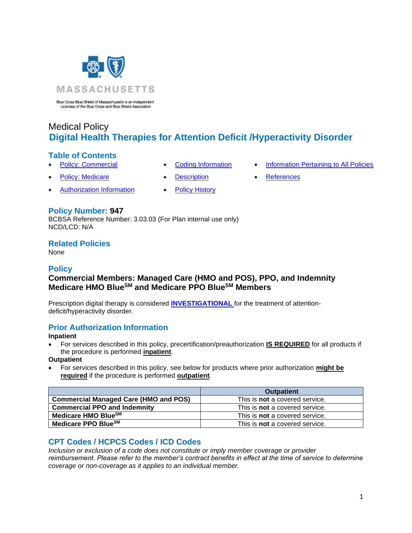

Blue Cross Blue Shield of Massachusetts is an Independent<br>Licenses of the Blue Cross and Blue Shield Association

# Medical Policy **Digital Health Therapies for Attention Deficit /Hyperactivity Disorder**

#### **Table of Contents**

- -
- 
- **[Policy: Commercial](#page-0-0) [Coding Information](#page-0-1) [Information Pertaining to All Policies](#page-2-0)**
- [Policy: Medicare](#page-0-2) • [Description](#page-1-0) [References](#page-2-1)
- 

**Policy Number: 947**

BCBSA Reference Number: 3.03.03 (For Plan internal use only) NCD/LCD: N/A

• [Authorization Information](#page-0-3) • [Policy History](#page-2-2)

## **Related Policies**

None

## **Policy**

# <span id="page-0-2"></span><span id="page-0-0"></span>**Commercial Members: Managed Care (HMO and POS), PPO, and Indemnity Medicare HMO BlueSM and Medicare PPO BlueSM Members**

Prescription digital therapy is considered **[INVESTIGATIONAL](https://www.bluecrossma.org/medical-policies/sites/g/files/csphws2091/files/acquiadam-assets/Definition%20of%20Med%20Nec%20Inv%20Not%20Med%20Nec%20prn.pdf#page=1)** for the treatment of attentiondeficit/hyperactivity disorder.

# <span id="page-0-3"></span>**Prior Authorization Information**

#### **Inpatient**

• For services described in this policy, precertification/preauthorization **IS REQUIRED** for all products if the procedure is performed **inpatient**.

#### **Outpatient**

• For services described in this policy, see below for products where prior authorization **might be required** if the procedure is performed **outpatient**.

|                                              | <b>Outpatient</b>                     |
|----------------------------------------------|---------------------------------------|
| <b>Commercial Managed Care (HMO and POS)</b> | This is <b>not</b> a covered service. |
| <b>Commercial PPO and Indemnity</b>          | This is <b>not</b> a covered service. |
| Medicare HMO BlueSM                          | This is <b>not</b> a covered service. |
| Medicare PPO BlueSM                          | This is <b>not</b> a covered service. |

# <span id="page-0-1"></span>**CPT Codes / HCPCS Codes / ICD Codes**

*Inclusion or exclusion of a code does not constitute or imply member coverage or provider reimbursement. Please refer to the member's contract benefits in effect at the time of service to determine coverage or non-coverage as it applies to an individual member.*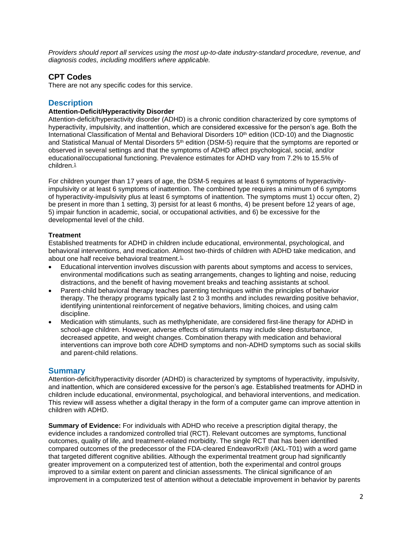*Providers should report all services using the most up-to-date industry-standard procedure, revenue, and diagnosis codes, including modifiers where applicable.*

### **CPT Codes**

<span id="page-1-0"></span>There are not any specific codes for this service.

## **Description**

#### **Attention-Deficit/Hyperactivity Disorder**

Attention-deficit/hyperactivity disorder (ADHD) is a chronic condition characterized by core symptoms of hyperactivity, impulsivity, and inattention, which are considered excessive for the person's age. Both the International Classification of Mental and Behavioral Disorders 10<sup>th</sup> edition (ICD-10) and the Diagnostic and Statistical Manual of Mental Disorders 5<sup>th</sup> edition (DSM-5) require that the symptoms are reported or observed in several settings and that the symptoms of ADHD affect psychological, social, and/or educational/occupational functioning. Prevalence estimates for ADHD vary from 7.2% to 15.5% of children.<sup>[1](https://www.evidencepositioningsystem.com/_w_61b4aba5b491200b3f96bae159b999a71a3b0a423312b972/bcbsa_html/BCBSA/html/_blank)</sup>

For children younger than 17 years of age, the DSM-5 requires at least 6 symptoms of hyperactivityimpulsivity or at least 6 symptoms of inattention. The combined type requires a minimum of 6 symptoms of hyperactivity-impulsivity plus at least 6 symptoms of inattention. The symptoms must 1) occur often, 2) be present in more than 1 setting, 3) persist for at least 6 months, 4) be present before 12 years of age, 5) impair function in academic, social, or occupational activities, and 6) be excessive for the developmental level of the child.

#### **Treatment**

Established treatments for ADHD in children include educational, environmental, psychological, and behavioral interventions, and medication. Almost two-thirds of children with ADHD take medication, and about one half receive behavioral treatment. $\frac{1}{2}$ 

- Educational intervention involves discussion with parents about symptoms and access to services, environmental modifications such as seating arrangements, changes to lighting and noise, reducing distractions, and the benefit of having movement breaks and teaching assistants at school.
- Parent-child behavioral therapy teaches parenting techniques within the principles of behavior therapy. The therapy programs typically last 2 to 3 months and includes rewarding positive behavior, identifying unintentional reinforcement of negative behaviors, limiting choices, and using calm discipline.
- Medication with stimulants, such as methylphenidate, are considered first-line therapy for ADHD in school-age children. However, adverse effects of stimulants may include sleep disturbance, decreased appetite, and weight changes. Combination therapy with medication and behavioral interventions can improve both core ADHD symptoms and non-ADHD symptoms such as social skills and parent-child relations.

#### **Summary**

Attention-deficit/hyperactivity disorder (ADHD) is characterized by symptoms of hyperactivity, impulsivity, and inattention, which are considered excessive for the person's age. Established treatments for ADHD in children include educational, environmental, psychological, and behavioral interventions, and medication. This review will assess whether a digital therapy in the form of a computer game can improve attention in children with ADHD.

**Summary of Evidence:** For individuals with ADHD who receive a prescription digital therapy, the evidence includes a randomized controlled trial (RCT). Relevant outcomes are symptoms, functional outcomes, quality of life, and treatment-related morbidity. The single RCT that has been identified compared outcomes of the predecessor of the FDA-cleared EndeavorRx® (AKL-T01) with a word game that targeted different cognitive abilities. Although the experimental treatment group had significantly greater improvement on a computerized test of attention, both the experimental and control groups improved to a similar extent on parent and clinician assessments. The clinical significance of an improvement in a computerized test of attention without a detectable improvement in behavior by parents